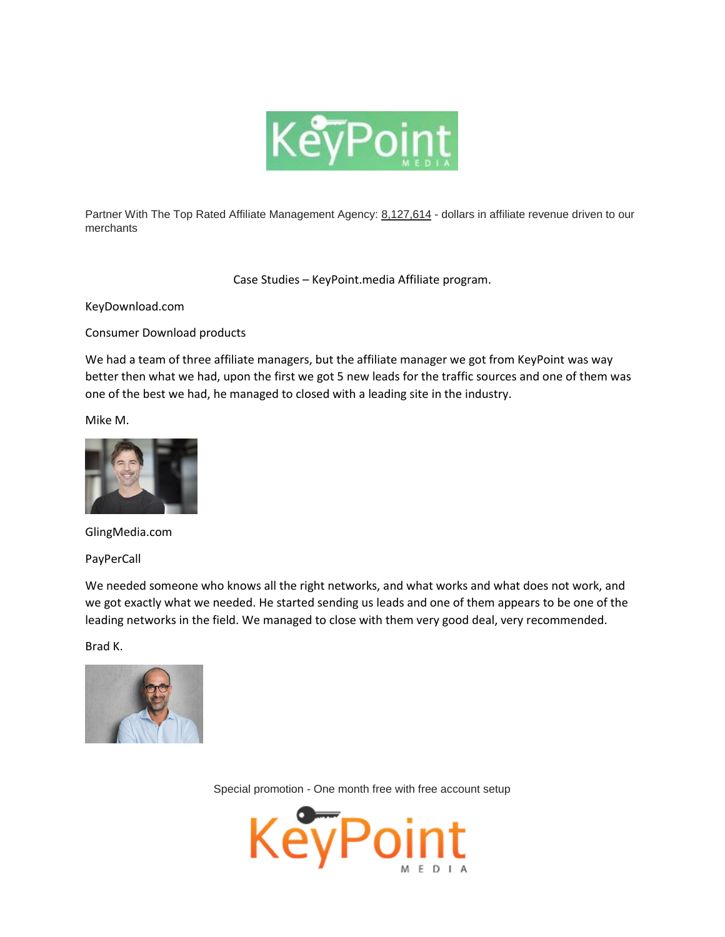

Partner With The Top Rated Affiliate Management Agency: 8,127,614 - dollars in affiliate revenue driven to our merchants

Case Studies – KeyPoint.media Affiliate program.

KeyDownload.com

Consumer Download products

We had a team of three affiliate managers, but the affiliate manager we got from KeyPoint was way better then what we had, upon the first we got 5 new leads for the traffic sources and one of them was one of the best we had, he managed to closed with a leading site in the industry.

Mike M.



GlingMedia.com

PayPerCall

We needed someone who knows all the right networks, and what works and what does not work, and we got exactly what we needed. He started sending us leads and one of them appears to be one of the leading networks in the field. We managed to close with them very good deal, very recommended.

Brad K.



Special promotion - One month free with free account setup

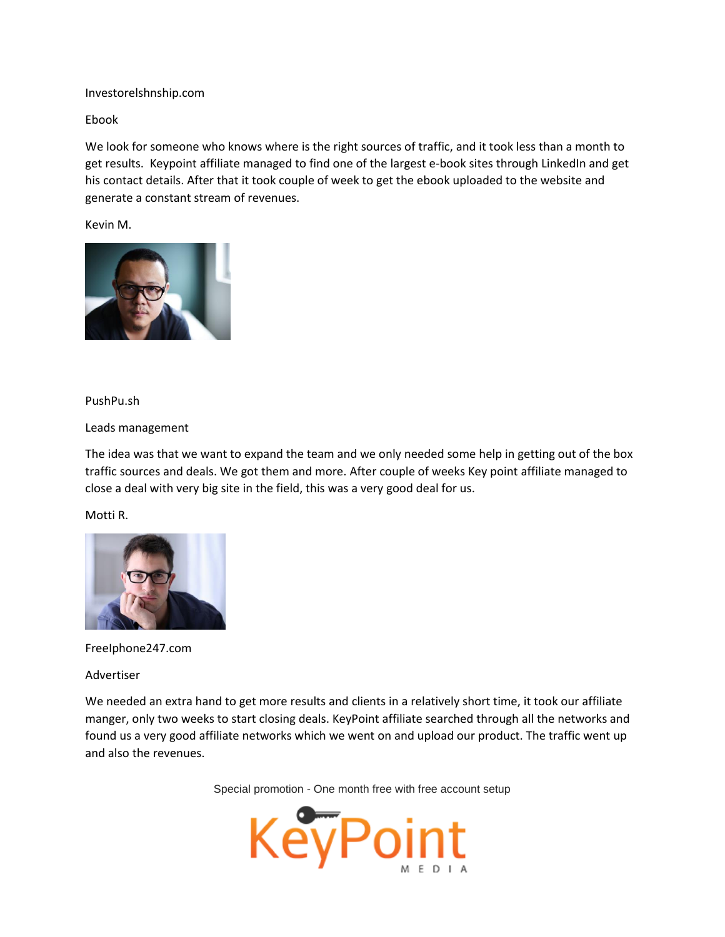Investorelshnship.com

Ebook

We look for someone who knows where is the right sources of traffic, and it took less than a month to get results. Keypoint affiliate managed to find one of the largest e-book sites through LinkedIn and get his contact details. After that it took couple of week to get the ebook uploaded to the website and generate a constant stream of revenues.

Kevin M.



## PushPu.sh

Leads management

The idea was that we want to expand the team and we only needed some help in getting out of the box traffic sources and deals. We got them and more. After couple of weeks Key point affiliate managed to close a deal with very big site in the field, this was a very good deal for us.

Motti R.



FreeIphone247.com

Advertiser

We needed an extra hand to get more results and clients in a relatively short time, it took our affiliate manger, only two weeks to start closing deals. KeyPoint affiliate searched through all the networks and found us a very good affiliate networks which we went on and upload our product. The traffic went up and also the revenues.

Special promotion - One month free with free account setup

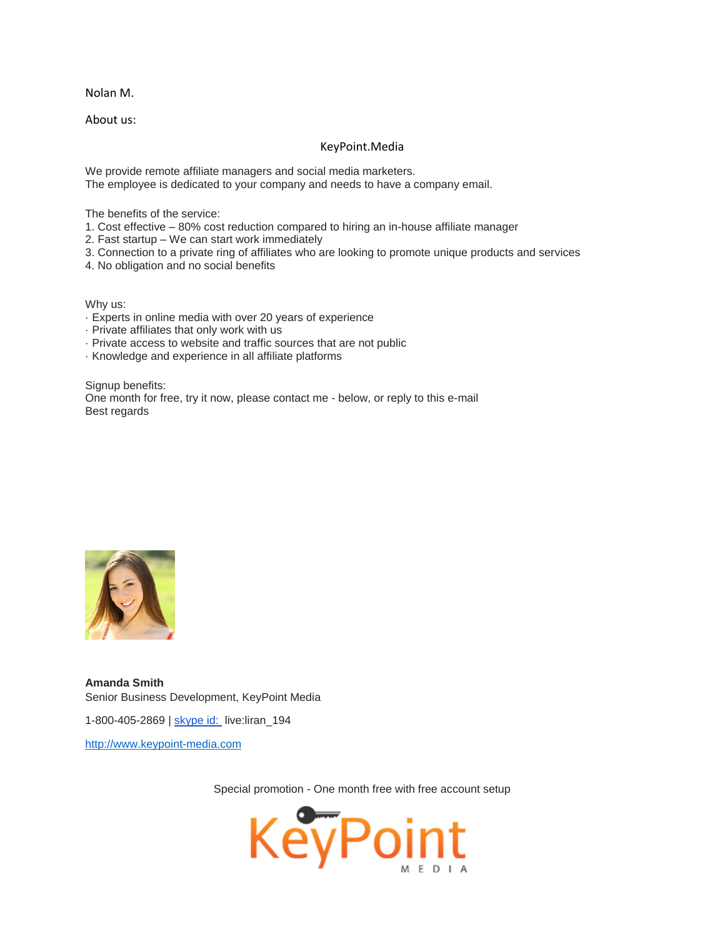Nolan M.

About us:

## KeyPoint.Media

We provide remote affiliate managers and social media marketers. The employee is dedicated to your company and needs to have a company email.

The benefits of the service:

- 1. Cost effective 80% cost reduction compared to hiring an in-house affiliate manager
- 2. Fast startup We can start work immediately
- 3. Connection to a private ring of affiliates who are looking to promote unique products and services
- 4. No obligation and no social benefits

Why us:

- · Experts in online media with over 20 years of experience
- · Private affiliates that only work with us
- · Private access to website and traffic sources that are not public
- · Knowledge and experience in all affiliate platforms

Signup benefits: One month for free, try it now, please contact me - below, or reply to this e-mail Best regards



**Amanda Smith** Senior Business Development, KeyPoint Media 1-800-405-2869 | [skype id: l](mailto:skype%20id:%20Sales%20Keypoint)ive:liran\_194 [http://www.keypoint-media.com](http://www.keypoint-media.com/)

Special promotion - One month free with free account setup